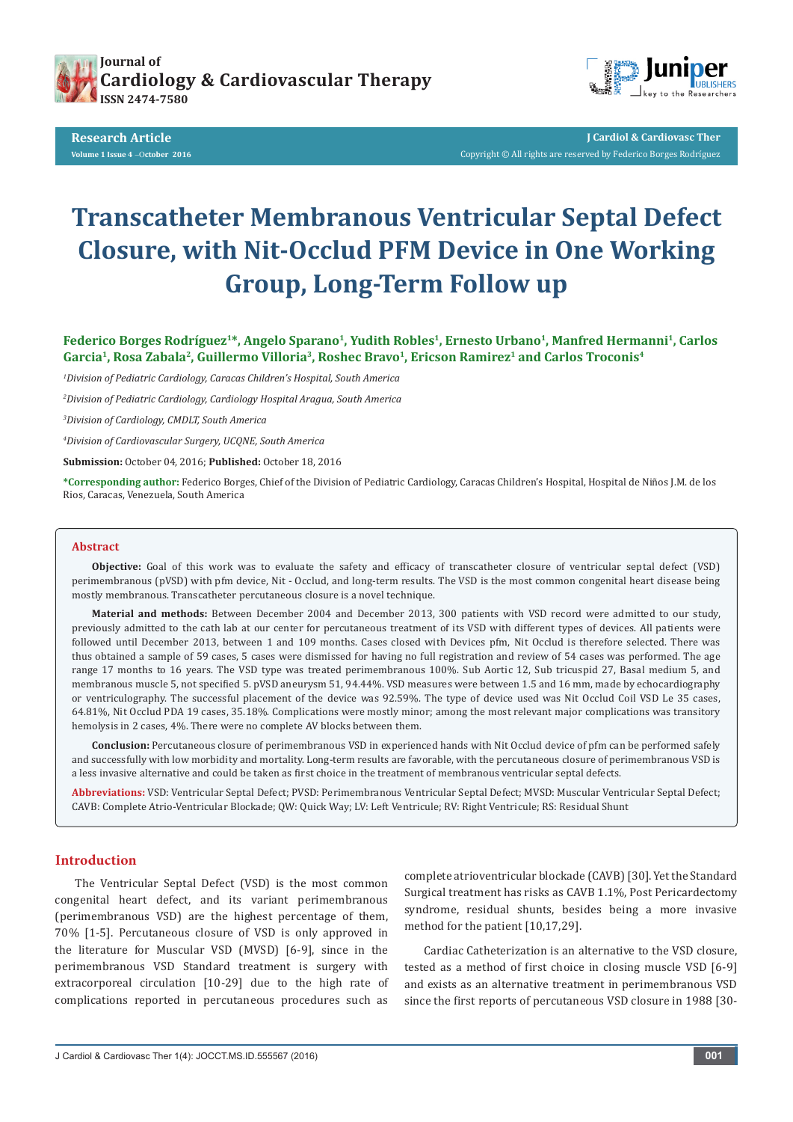

**Research Article Volume 1 Issue 4** -O**ctober 2016** 



**J Cardiol & Cardiovasc Ther** Copyright © All rights are reserved by Federico Borges Rodríguez

# **Transcatheter Membranous Ventricular Septal Defect Closure, with Nit-Occlud PFM Device in One Working Group, Long-Term Follow up**

Federico Borges Rodríguez<sup>1\*</sup>, Angelo Sparano<sup>1</sup>, Yudith Robles<sup>1</sup>, Ernesto Urbano<sup>1</sup>, Manfred Hermanni<sup>1</sup>, Carlos Garcia<sup>1</sup>, Rosa Zabala<sup>2</sup>, Guillermo Villoria<sup>3</sup>, Roshec Bravo<sup>1</sup>, Ericson Ramirez<sup>1</sup> and Carlos Troconis<sup>4</sup>

*1 Division of Pediatric Cardiology, Caracas Children's Hospital, South America*

*2 Division of Pediatric Cardiology, Cardiology Hospital Aragua, South America*

*3 Division of Cardiology, CMDLT, South America*

*4 Division of Cardiovascular Surgery, UCQNE, South America*

**Submission:** October 04, 2016; **Published:** October 18, 2016

**\*Corresponding author:** Federico Borges, Chief of the Division of Pediatric Cardiology, Caracas Children's Hospital, Hospital de Niños J.M. de los Rios, Caracas, Venezuela, South America

#### **Abstract**

**Objective:** Goal of this work was to evaluate the safety and efficacy of transcatheter closure of ventricular septal defect (VSD) perimembranous (pVSD) with pfm device, Nit - Occlud, and long-term results. The VSD is the most common congenital heart disease being mostly membranous. Transcatheter percutaneous closure is a novel technique.

**Material and methods:** Between December 2004 and December 2013, 300 patients with VSD record were admitted to our study, previously admitted to the cath lab at our center for percutaneous treatment of its VSD with different types of devices. All patients were followed until December 2013, between 1 and 109 months. Cases closed with Devices pfm, Nit Occlud is therefore selected. There was thus obtained a sample of 59 cases, 5 cases were dismissed for having no full registration and review of 54 cases was performed. The age range 17 months to 16 years. The VSD type was treated perimembranous 100%. Sub Aortic 12, Sub tricuspid 27, Basal medium 5, and membranous muscle 5, not specified 5. pVSD aneurysm 51, 94.44%. VSD measures were between 1.5 and 16 mm, made by echocardiography or ventriculography. The successful placement of the device was 92.59%. The type of device used was Nit Occlud Coil VSD Le 35 cases, 64.81%, Nit Occlud PDA 19 cases, 35.18%. Complications were mostly minor; among the most relevant major complications was transitory hemolysis in 2 cases, 4%. There were no complete AV blocks between them.

**Conclusion:** Percutaneous closure of perimembranous VSD in experienced hands with Nit Occlud device of pfm can be performed safely and successfully with low morbidity and mortality. Long-term results are favorable, with the percutaneous closure of perimembranous VSD is a less invasive alternative and could be taken as first choice in the treatment of membranous ventricular septal defects.

**Abbreviations:** VSD: Ventricular Septal Defect; PVSD: Perimembranous Ventricular Septal Defect; MVSD: Muscular Ventricular Septal Defect; CAVB: Complete Atrio-Ventricular Blockade; QW: Quick Way; LV: Left Ventricule; RV: Right Ventricule; RS: Residual Shunt

## **Introduction**

The Ventricular Septal Defect (VSD) is the most common congenital heart defect, and its variant perimembranous (perimembranous VSD) are the highest percentage of them, 70% [1-5]. Percutaneous closure of VSD is only approved in the literature for Muscular VSD (MVSD) [6-9], since in the perimembranous VSD Standard treatment is surgery with extracorporeal circulation [10-29] due to the high rate of complications reported in percutaneous procedures such as complete atrioventricular blockade (CAVB) [30]. Yet the Standard Surgical treatment has risks as CAVB 1.1%, Post Pericardectomy syndrome, residual shunts, besides being a more invasive method for the patient [10,17,29].

Cardiac Catheterization is an alternative to the VSD closure, tested as a method of first choice in closing muscle VSD [6-9] and exists as an alternative treatment in perimembranous VSD since the first reports of percutaneous VSD closure in 1988 [30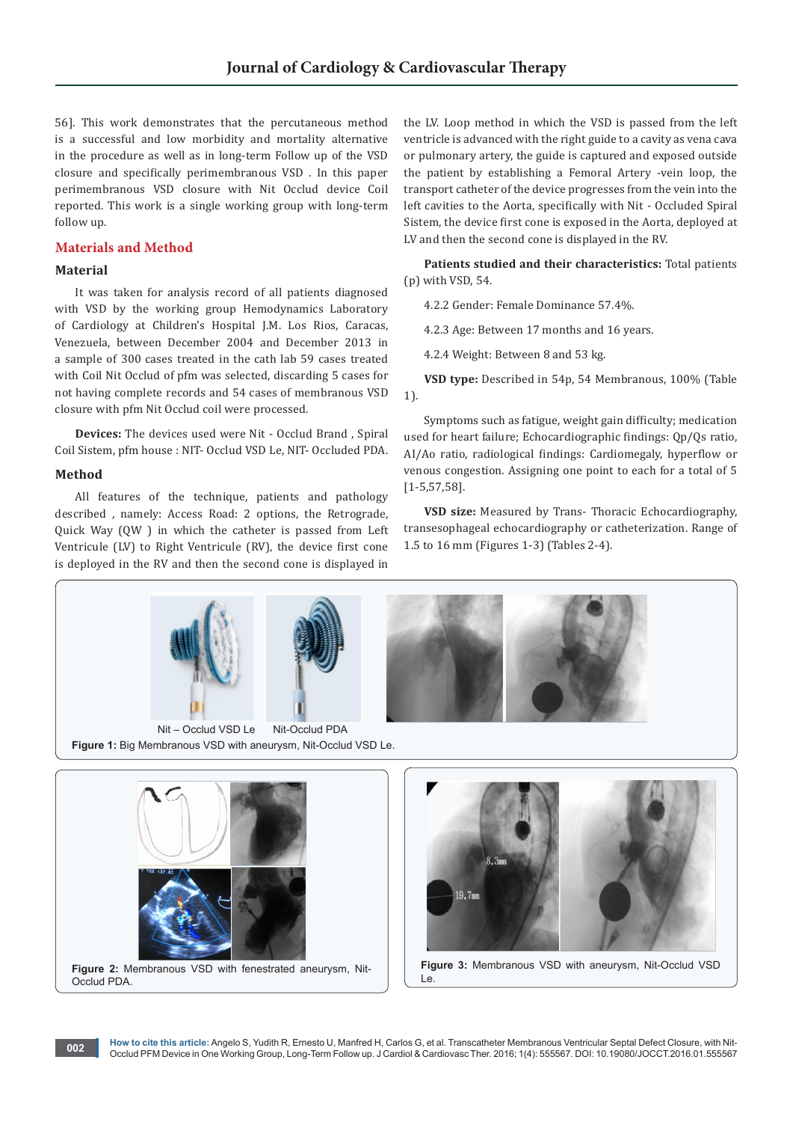56]. This work demonstrates that the percutaneous method is a successful and low morbidity and mortality alternative in the procedure as well as in long-term Follow up of the VSD closure and specifically perimembranous VSD . In this paper perimembranous VSD closure with Nit Occlud device Coil reported. This work is a single working group with long-term follow up.

## **Materials and Method**

# **Material**

It was taken for analysis record of all patients diagnosed with VSD by the working group Hemodynamics Laboratory of Cardiology at Children's Hospital J.M. Los Rios, Caracas, Venezuela, between December 2004 and December 2013 in a sample of 300 cases treated in the cath lab 59 cases treated with Coil Nit Occlud of pfm was selected, discarding 5 cases for not having complete records and 54 cases of membranous VSD closure with pfm Nit Occlud coil were processed.

**Devices:** The devices used were Nit - Occlud Brand , Spiral Coil Sistem, pfm house : NIT- Occlud VSD Le, NIT- Occluded PDA.

## **Method**

Occlud PDA.

All features of the technique, patients and pathology described , namely: Access Road: 2 options, the Retrograde, Quick Way (QW ) in which the catheter is passed from Left Ventricule (LV) to Right Ventricule (RV), the device first cone is deployed in the RV and then the second cone is displayed in

the LV. Loop method in which the VSD is passed from the left ventricle is advanced with the right guide to a cavity as vena cava or pulmonary artery, the guide is captured and exposed outside the patient by establishing a Femoral Artery -vein loop, the transport catheter of the device progresses from the vein into the left cavities to the Aorta, specifically with Nit - Occluded Spiral Sistem, the device first cone is exposed in the Aorta, deployed at LV and then the second cone is displayed in the RV.

**Patients studied and their characteristics:** Total patients (p) with VSD, 54.

4.2.2 Gender: Female Dominance 57.4%.

4.2.3 Age: Between 17 months and 16 years.

4.2.4 Weight: Between 8 and 53 kg.

**VSD type:** Described in 54p, 54 Membranous, 100% (Table 1).

Symptoms such as fatigue, weight gain difficulty; medication used for heart failure; Echocardiographic findings: Qp/Qs ratio, AI/Ao ratio, radiological findings: Cardiomegaly, hyperflow or venous congestion. Assigning one point to each for a total of 5 [1-5,57,58].

**VSD size:** Measured by Trans- Thoracic Echocardiography, transesophageal echocardiography or catheterization. Range of 1.5 to 16 mm (Figures 1-3) (Tables 2-4).





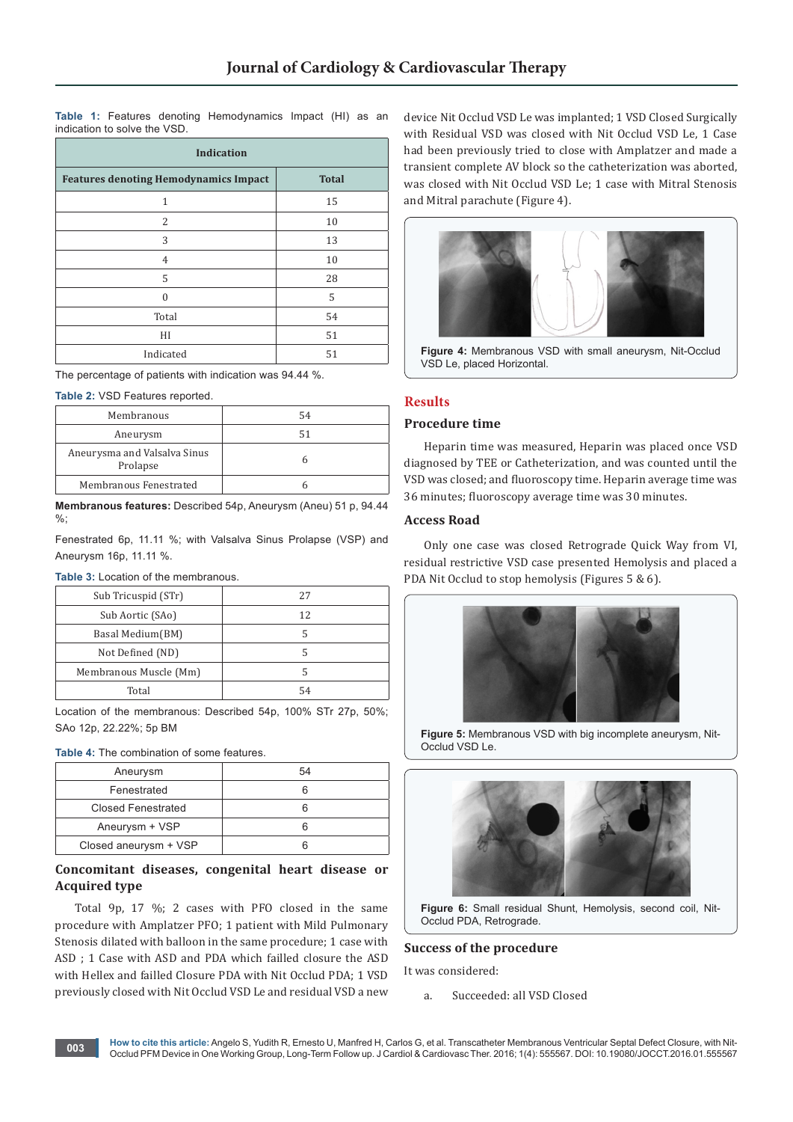**Table 1:** Features denoting Hemodynamics Impact (HI) as an indication to solve the VSD.

| <b>Indication</b>                            |              |  |
|----------------------------------------------|--------------|--|
| <b>Features denoting Hemodynamics Impact</b> | <b>Total</b> |  |
| 1                                            | 15           |  |
| 2                                            | 10           |  |
| 3                                            | 13           |  |
| $\overline{4}$                               | 10           |  |
| 5                                            | 28           |  |
| $\Omega$                                     | 5            |  |
| Total                                        | 54           |  |
| HI                                           | 51           |  |
| Indicated                                    | 51           |  |

The percentage of patients with indication was 94.44 %.

**Table 2:** VSD Features reported.

| Membranous                               | 54 |
|------------------------------------------|----|
| Aneurysm                                 |    |
| Aneurysma and Valsalva Sinus<br>Prolapse |    |
| Membranous Fenestrated                   |    |

**Membranous features:** Described 54p, Aneurysm (Aneu) 51 p, 94.44 %;

Fenestrated 6p, 11.11 %; with Valsalva Sinus Prolapse (VSP) and Aneurysm 16p, 11.11 %.

**Table 3:** Location of the membranous.

| Sub Tricuspid (STr)    | 27 |
|------------------------|----|
| Sub Aortic (SAo)       | 12 |
| Basal Medium(BM)       |    |
| Not Defined (ND)       |    |
| Membranous Muscle (Mm) |    |
| Total                  | 54 |

Location of the membranous: Described 54p, 100% STr 27p, 50%; SAo 12p, 22.22%; 5p BM

**Table 4:** The combination of some features.

| Aneurysm                  | 54 |
|---------------------------|----|
| Fenestrated               |    |
| <b>Closed Fenestrated</b> |    |
| Aneurysm + VSP            |    |
| Closed aneurysm + VSP     |    |

## **Concomitant diseases, congenital heart disease or Acquired type**

Total 9p, 17 %; 2 cases with PFO closed in the same procedure with Amplatzer PFO; 1 patient with Mild Pulmonary Stenosis dilated with balloon in the same procedure; 1 case with ASD ; 1 Case with ASD and PDA which failled closure the ASD with Hellex and failled Closure PDA with Nit Occlud PDA; 1 VSD previously closed with Nit Occlud VSD Le and residual VSD a new

device Nit Occlud VSD Le was implanted; 1 VSD Closed Surgically with Residual VSD was closed with Nit Occlud VSD Le, 1 Case had been previously tried to close with Amplatzer and made a transient complete AV block so the catheterization was aborted, was closed with Nit Occlud VSD Le; 1 case with Mitral Stenosis and Mitral parachute (Figure 4).



**Figure 4:** Membranous VSD with small aneurysm, Nit-Occlud VSD Le, placed Horizontal.

# **Results**

## **Procedure time**

Heparin time was measured, Heparin was placed once VSD diagnosed by TEE or Catheterization, and was counted until the VSD was closed; and fluoroscopy time. Heparin average time was 36 minutes; fluoroscopy average time was 30 minutes.

## **Access Road**

Only one case was closed Retrograde Quick Way from VI, residual restrictive VSD case presented Hemolysis and placed a PDA Nit Occlud to stop hemolysis (Figures 5 & 6).



**Figure 5:** Membranous VSD with big incomplete aneurysm, Nit-Occlud VSD Le.



**Figure 6:** Small residual Shunt, Hemolysis, second coil, Nit-Occlud PDA, Retrograde.

## **Success of the procedure**

It was considered:

a. Succeeded: all VSD Closed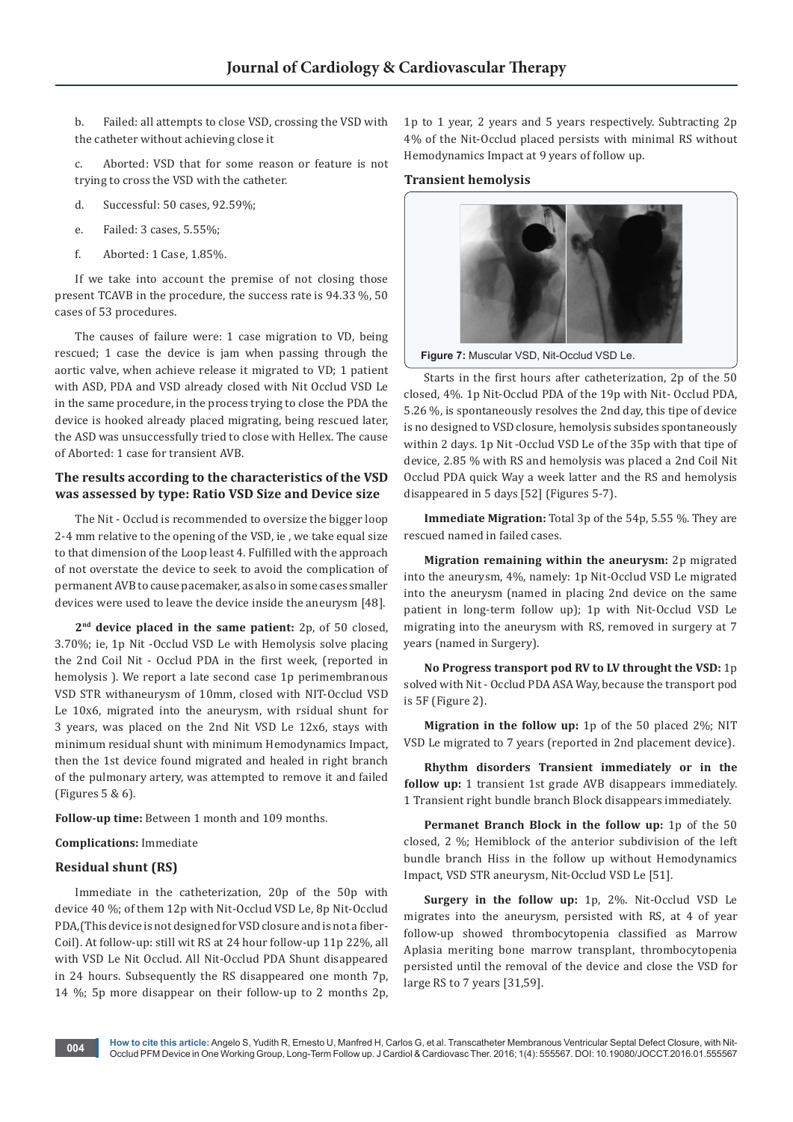b. Failed: all attempts to close VSD, crossing the VSD with the catheter without achieving close it

c. Aborted: VSD that for some reason or feature is not trying to cross the VSD with the catheter.

- d. Successful: 50 cases, 92.59%;
- e. Failed: 3 cases, 5.55%;
- f. Aborted: 1 Case, 1.85%.

If we take into account the premise of not closing those present TCAVB in the procedure, the success rate is 94.33 %, 50 cases of 53 procedures.

The causes of failure were: 1 case migration to VD, being rescued; 1 case the device is jam when passing through the aortic valve, when achieve release it migrated to VD; 1 patient with ASD, PDA and VSD already closed with Nit Occlud VSD Le in the same procedure, in the process trying to close the PDA the device is hooked already placed migrating, being rescued later, the ASD was unsuccessfully tried to close with Hellex. The cause of Aborted: 1 case for transient AVB.

## **The results according to the characteristics of the VSD was assessed by type: Ratio VSD Size and Device size**

The Nit - Occlud is recommended to oversize the bigger loop 2-4 mm relative to the opening of the VSD, ie , we take equal size to that dimension of the Loop least 4. Fulfilled with the approach of not overstate the device to seek to avoid the complication of permanent AVB to cause pacemaker, as also in some cases smaller devices were used to leave the device inside the aneurysm [48].

**2nd device placed in the same patient:** 2p, of 50 closed, 3.70%; ie, 1p Nit -Occlud VSD Le with Hemolysis solve placing the 2nd Coil Nit - Occlud PDA in the first week, (reported in hemolysis ). We report a late second case 1p perimembranous VSD STR withaneurysm of 10mm, closed with NIT-Occlud VSD Le 10x6, migrated into the aneurysm, with rsidual shunt for 3 years, was placed on the 2nd Nit VSD Le 12x6, stays with minimum residual shunt with minimum Hemodynamics Impact, then the 1st device found migrated and healed in right branch of the pulmonary artery, was attempted to remove it and failed (Figures 5 & 6).

**Follow-up time:** Between 1 month and 109 months.

#### **Complications:** Immediate

## **Residual shunt (RS)**

Immediate in the catheterization, 20p of the 50p with device 40 %; of them 12p with Nit-Occlud VSD Le, 8p Nit-Occlud PDA,(This device is not designed for VSD closure and is not a fiber-Coil). At follow-up: still wit RS at 24 hour follow-up 11p 22%, all with VSD Le Nit Occlud. All Nit-Occlud PDA Shunt disappeared in 24 hours. Subsequently the RS disappeared one month 7p, 14 %; 5p more disappear on their follow-up to 2 months 2p,

1p to 1 year, 2 years and 5 years respectively. Subtracting 2p 4% of the Nit-Occlud placed persists with minimal RS without Hemodynamics Impact at 9 years of follow up.

## **Transient hemolysis**



**Figure 7:** Muscular VSD, Nit-Occlud VSD Le.

Starts in the first hours after catheterization, 2p of the 50 closed, 4%. 1p Nit-Occlud PDA of the 19p with Nit- Occlud PDA, 5.26 %, is spontaneously resolves the 2nd day, this tipe of device is no designed to VSD closure, hemolysis subsides spontaneously within 2 days. 1p Nit -Occlud VSD Le of the 35p with that tipe of device, 2.85 % with RS and hemolysis was placed a 2nd Coil Nit Occlud PDA quick Way a week latter and the RS and hemolysis disappeared in 5 days [52] (Figures 5-7).

**Immediate Migration:** Total 3p of the 54p, 5.55 %. They are rescued named in failed cases.

**Migration remaining within the aneurysm:** 2p migrated into the aneurysm, 4%, namely: 1p Nit-Occlud VSD Le migrated into the aneurysm (named in placing 2nd device on the same patient in long-term follow up); 1p with Nit-Occlud VSD Le migrating into the aneurysm with RS, removed in surgery at 7 years (named in Surgery).

**No Progress transport pod RV to LV throught the VSD:** 1p solved with Nit - Occlud PDA ASA Way, because the transport pod is 5F (Figure 2).

**Migration in the follow up:** 1p of the 50 placed 2%; NIT VSD Le migrated to 7 years (reported in 2nd placement device).

**Rhythm disorders Transient immediately or in the follow up:** 1 transient 1st grade AVB disappears immediately. 1 Transient right bundle branch Block disappears immediately.

**Permanet Branch Block in the follow up:** 1p of the 50 closed, 2 %; Hemiblock of the anterior subdivision of the left bundle branch Hiss in the follow up without Hemodynamics Impact, VSD STR aneurysm, Nit-Occlud VSD Le [51].

**Surgery in the follow up:** 1p, 2%. Nit-Occlud VSD Le migrates into the aneurysm, persisted with RS, at 4 of year follow-up showed thrombocytopenia classified as Marrow Aplasia meriting bone marrow transplant, thrombocytopenia persisted until the removal of the device and close the VSD for large RS to 7 years [31,59].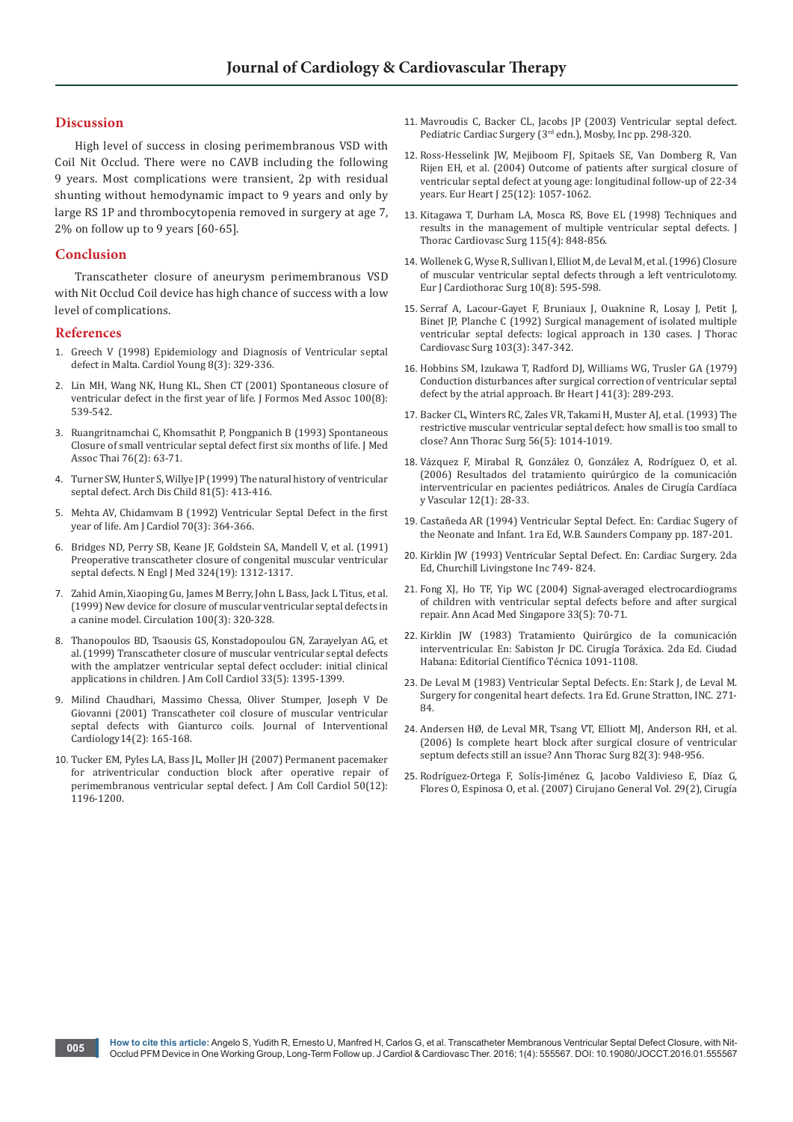## **Discussion**

High level of success in closing perimembranous VSD with Coil Nit Occlud. There were no CAVB including the following 9 years. Most complications were transient, 2p with residual shunting without hemodynamic impact to 9 years and only by large RS 1P and thrombocytopenia removed in surgery at age 7, 2% on follow up to 9 years [60-65].

## **Conclusion**

Transcatheter closure of aneurysm perimembranous VSD with Nit Occlud Coil device has high chance of success with a low level of complications.

#### **References**

- 1. [Greech V \(1998\) Epidemiology and Diagnosis of Ventricular septal](https://www.ncbi.nlm.nih.gov/pubmed/9731647)  [defect in Malta. Cardiol Young 8\(3\): 329-336.](https://www.ncbi.nlm.nih.gov/pubmed/9731647)
- 2. [Lin MH, Wang NK, Hung KL, Shen CT \(2001\) Spontaneous closure of](https://www.ncbi.nlm.nih.gov/pubmed/11678004)  [ventricular defect in the first year of life. J Formos Med Assoc 100\(8\):](https://www.ncbi.nlm.nih.gov/pubmed/11678004)  [539-542.](https://www.ncbi.nlm.nih.gov/pubmed/11678004)
- 3. [Ruangritnamchai C, Khomsathit P, Pongpanich B \(1993\) Spontaneous](https://www.ncbi.nlm.nih.gov/pubmed/7823008)  [Closure of small ventricular septal defect first six months of life. J Med](https://www.ncbi.nlm.nih.gov/pubmed/7823008)  [Assoc Thai 76\(2\): 63-71.](https://www.ncbi.nlm.nih.gov/pubmed/7823008)
- 4. [Turner SW, Hunter S, Willye JP \(1999\) The natural history of ventricular](http://adc.bmj.com/content/81/5/413.full)  [septal defect. Arch Dis Child 81\(5\): 413-416.](http://adc.bmj.com/content/81/5/413.full)
- 5. [Mehta AV, Chidamvam B \(1992\) Ventricular Septal Defect in the first](https://www.ncbi.nlm.nih.gov/pubmed/1632404)  [year of life. Am J Cardiol 70\(3\): 364-366.](https://www.ncbi.nlm.nih.gov/pubmed/1632404)
- 6. [Bridges ND, Perry SB, Keane JF, Goldstein SA, Mandell V, et al. \(1991\)](https://www.ncbi.nlm.nih.gov/pubmed/2017227)  [Preoperative transcatheter closure of congenital muscular ventricular](https://www.ncbi.nlm.nih.gov/pubmed/2017227)  [septal defects. N Engl J Med 324\(19\): 1312-1317.](https://www.ncbi.nlm.nih.gov/pubmed/2017227)
- 7. [Zahid Amin, Xiaoping Gu, James M Berry, John L Bass, Jack L Titus, et al.](http://circ.ahajournals.org/content/circulationaha/100/3/320.full.pdf)  [\(1999\) New device for closure of muscular ventricular septal defects in](http://circ.ahajournals.org/content/circulationaha/100/3/320.full.pdf)  [a canine model. Circulation 100\(3\): 320-328.](http://circ.ahajournals.org/content/circulationaha/100/3/320.full.pdf)
- 8. [Thanopoulos BD, Tsaousis GS, Konstadopoulou GN, Zarayelyan AG, et](https://www.ncbi.nlm.nih.gov/pubmed/10193744)  [al. \(1999\) Transcatheter closure of muscular ventricular septal defects](https://www.ncbi.nlm.nih.gov/pubmed/10193744)  [with the amplatzer ventricular septal defect occluder: initial clinical](https://www.ncbi.nlm.nih.gov/pubmed/10193744)  [applications in children. J Am Coll Cardiol 33\(5\): 1395-1399.](https://www.ncbi.nlm.nih.gov/pubmed/10193744)
- 9. [Milind Chaudhari, Massimo Chessa, Oliver Stumper, Joseph V De](http://onlinelibrary.wiley.com/doi/10.1111/j.1540-8183.2001.tb00729.x/abstract)  [Giovanni \(2001\) Transcatheter coil closure of muscular ventricular](http://onlinelibrary.wiley.com/doi/10.1111/j.1540-8183.2001.tb00729.x/abstract)  [septal defects with Gianturco coils. Journal of Interventional](http://onlinelibrary.wiley.com/doi/10.1111/j.1540-8183.2001.tb00729.x/abstract)  [Cardiology14\(2\): 165-168.](http://onlinelibrary.wiley.com/doi/10.1111/j.1540-8183.2001.tb00729.x/abstract)
- 10. [Tucker EM, Pyles LA, Bass JL, Moller JH \(2007\) Permanent pacemaker](https://www.ncbi.nlm.nih.gov/pubmed/17868813)  [for atriventricular conduction block after operative repair of](https://www.ncbi.nlm.nih.gov/pubmed/17868813)  [perimembranous ventricular septal defect. J Am Coll Cardiol 50\(12\):](https://www.ncbi.nlm.nih.gov/pubmed/17868813)  [1196-1200.](https://www.ncbi.nlm.nih.gov/pubmed/17868813)
- 11. Mavroudis C, Backer CL, Jacobs JP (2003) Ventricular septal defect. Pediatric Cardiac Surgery (3<sup>rd</sup> edn.), Mosby, Inc pp. 298-320.
- 12. [Ross-Hesselink JW, Mejiboom FJ, Spitaels SE, Van Domberg R, Van](https://www.ncbi.nlm.nih.gov/pubmed/15191777)  [Rijen EH, et al. \(2004\) Outcome of patients after surgical closure of](https://www.ncbi.nlm.nih.gov/pubmed/15191777)  [ventricular septal defect at young age: longitudinal follow-up of 22-34](https://www.ncbi.nlm.nih.gov/pubmed/15191777)  [years. Eur Heart J 25\(12\): 1057-1062.](https://www.ncbi.nlm.nih.gov/pubmed/15191777)
- 13. [Kitagawa T, Durham LA, Mosca RS, Bove EL \(1998\) Techniques and](https://www.ncbi.nlm.nih.gov/pubmed/9576221)  [results in the management of multiple ventricular septal defects. J](https://www.ncbi.nlm.nih.gov/pubmed/9576221)  [Thorac Cardiovasc Surg 115\(4\): 848-856.](https://www.ncbi.nlm.nih.gov/pubmed/9576221)
- 14. [Wollenek G, Wyse R, Sullivan I, Elliot M, de Leval M, et al. \(1996\) Closure](https://www.ncbi.nlm.nih.gov/pubmed/8875164)  [of muscular ventricular septal defects through a left ventriculotomy.](https://www.ncbi.nlm.nih.gov/pubmed/8875164)  [Eur J Cardiothorac Surg 10\(8\): 595-598.](https://www.ncbi.nlm.nih.gov/pubmed/8875164)
- 15. [Serraf A, Lacour-Gayet F, Bruniaux J, Ouaknine R, Losay J, Petit J,](https://www.ncbi.nlm.nih.gov/pubmed/1545542)  [Binet JP, Planche C \(1992\) Surgical management of isolated multiple](https://www.ncbi.nlm.nih.gov/pubmed/1545542)  [ventricular septal defects: logical approach in 130 cases. J Thorac](https://www.ncbi.nlm.nih.gov/pubmed/1545542)  [Cardiovasc Surg 103\(3\): 347-342.](https://www.ncbi.nlm.nih.gov/pubmed/1545542)
- 16. [Hobbins SM, Izukawa T, Radford DJ, Williams WG, Trusler GA \(1979\)](https://www.ncbi.nlm.nih.gov/pubmed/426978)  [Conduction disturbances after surgical correction of ventricular septal](https://www.ncbi.nlm.nih.gov/pubmed/426978)  [defect by the atrial approach. Br Heart J 41\(3\): 289-293.](https://www.ncbi.nlm.nih.gov/pubmed/426978)
- 17. [Backer CL, Winters RC, Zales VR, Takami H, Muster AJ, et al. \(1993\) The](https://www.ncbi.nlm.nih.gov/pubmed/8239793)  [restrictive muscular ventricular septal defect: how small is too small to](https://www.ncbi.nlm.nih.gov/pubmed/8239793)  [close? Ann Thorac Surg 56\(5\): 1014-1019.](https://www.ncbi.nlm.nih.gov/pubmed/8239793)
- 18. Vázquez F, Mirabal R, González O, González A, Rodríguez O, et al. (2006) Resultados del tratamiento quirúrgico de la comunicación interventricular en pacientes pediátricos. Anales de Cirugía Cardíaca y Vascular 12(1): 28-33.
- 19. Castañeda AR (1994) Ventricular Septal Defect. En: Cardiac Sugery of the Neonate and Infant. 1ra Ed, W.B. Saunders Company pp. 187-201.
- 20. Kirklin JW (1993) Ventricular Septal Defect. En: Cardiac Surgery. 2da Ed, Churchill Livingstone Inc 749- 824.
- 21. [Fong XJ, Ho TF, Yip WC \(2004\) Signal-averaged electrocardiograms](https://www.ncbi.nlm.nih.gov/pubmed/15651217)  [of children with ventricular septal defects before and after surgical](https://www.ncbi.nlm.nih.gov/pubmed/15651217)  [repair. Ann Acad Med Singapore 33\(5\): 70-71.](https://www.ncbi.nlm.nih.gov/pubmed/15651217)
- 22. Kirklin JW (1983) Tratamiento Quirúrgico de la comunicación interventricular. En: Sabiston Jr DC. Cirugía Toráxica. 2da Ed. Ciudad Habana: Editorial Científico Técnica 1091-1108.
- 23. De Leval M (1983) Ventricular Septal Defects. En: Stark J, de Leval M. Surgery for congenital heart defects. 1ra Ed. Grune Stratton, INC. 271- 84.
- 24. [Andersen HØ, de Leval MR, Tsang VT, Elliott MJ, Anderson RH, et al.](https://www.ncbi.nlm.nih.gov/pubmed/16928514)  [\(2006\) Is complete heart block after surgical closure of ventricular](https://www.ncbi.nlm.nih.gov/pubmed/16928514)  [septum defects still an issue? Ann Thorac Surg 82\(3\): 948-956.](https://www.ncbi.nlm.nih.gov/pubmed/16928514)
- 25. Rodríguez-Ortega F, Solís-Jiménez G, Jacobo Valdivieso E, Díaz G, Flores O, Espinosa O, et al. (2007) Cirujano General Vol. 29(2), Cirugía